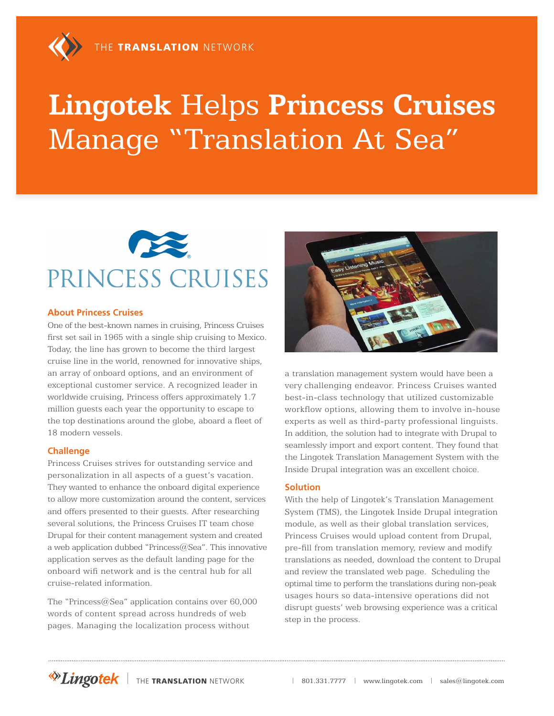# **Lingotek** Helps **Princess Cruises** Manage "Translation At Sea"



#### **About Princess Cruises**

One of the best-known names in cruising, Princess Cruises first set sail in 1965 with a single ship cruising to Mexico. Today, the line has grown to become the third largest cruise line in the world, renowned for innovative ships, an array of onboard options, and an environment of exceptional customer service. A recognized leader in worldwide cruising, Princess offers approximately 1.7 million guests each year the opportunity to escape to the top destinations around the globe, aboard a fleet of 18 modern vessels.

#### **Challenge**

Princess Cruises strives for outstanding service and personalization in all aspects of a guest's vacation. They wanted to enhance the onboard digital experience to allow more customization around the content, services and offers presented to their guests. After researching several solutions, the Princess Cruises IT team chose Drupal for their content management system and created a web application dubbed "Princess $@$ Sea". This innovative application serves as the default landing page for the onboard wifi network and is the central hub for all cruise-related information.

The "Princess@Sea" application contains over 60,000 words of content spread across hundreds of web pages. Managing the localization process without



a translation management system would have been a very challenging endeavor. Princess Cruises wanted best-in-class technology that utilized customizable workflow options, allowing them to involve in-house experts as well as third-party professional linguists. In addition, the solution had to integrate with Drupal to seamlessly import and export content. They found that the Lingotek Translation Management System with the Inside Drupal integration was an excellent choice.

#### **Solution**

With the help of Lingotek's Translation Management System (TMS), the Lingotek Inside Drupal integration module, as well as their global translation services, Princess Cruises would upload content from Drupal, pre-fill from translation memory, review and modify translations as needed, download the content to Drupal and review the translated web page. Scheduling the optimal time to perform the translations during non-peak usages hours so data-intensive operations did not disrupt guests' web browsing experience was a critical step in the process.